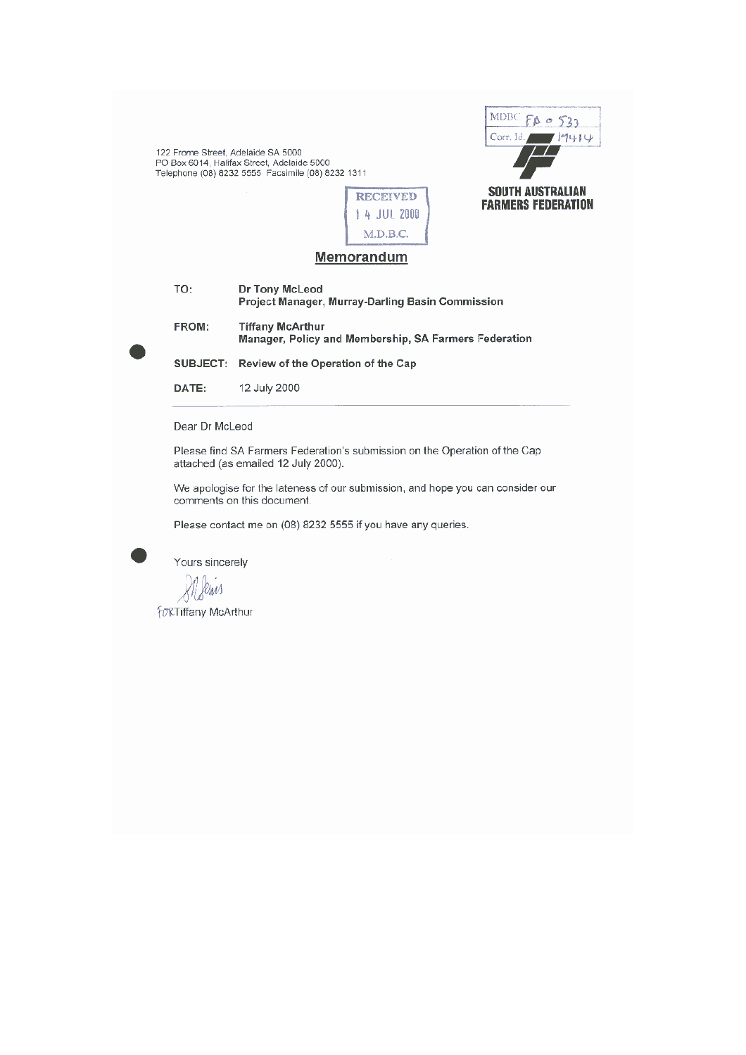122 Frome Street, Adelaide SA 5000<br>PO Box 6014, Halifax Street, Adelaide 5000<br>Telephone (08) 8232 5555 Facsimile (08) 8232 1311





#### **Memorandum**

| TO:   | Dr Tony McLeod<br>Project Manager, Murray-Darling Basin Commission               |
|-------|----------------------------------------------------------------------------------|
| FROM: | <b>Tiffany McArthur</b><br>Manager, Policy and Membership, SA Farmers Federation |
|       | SUBJECT: Review of the Operation of the Cap                                      |
| DATE: | 12 July 2000                                                                     |

Dear Dr McLeod

Please find SA Farmers Federation's submission on the Operation of the Cap attached (as emailed 12 July 2000).

We apologise for the lateness of our submission, and hope you can consider our comments on this document.

Please contact me on (08) 8232 5555 if you have any queries.



Mileris

*fo***&Tiffany McArthur**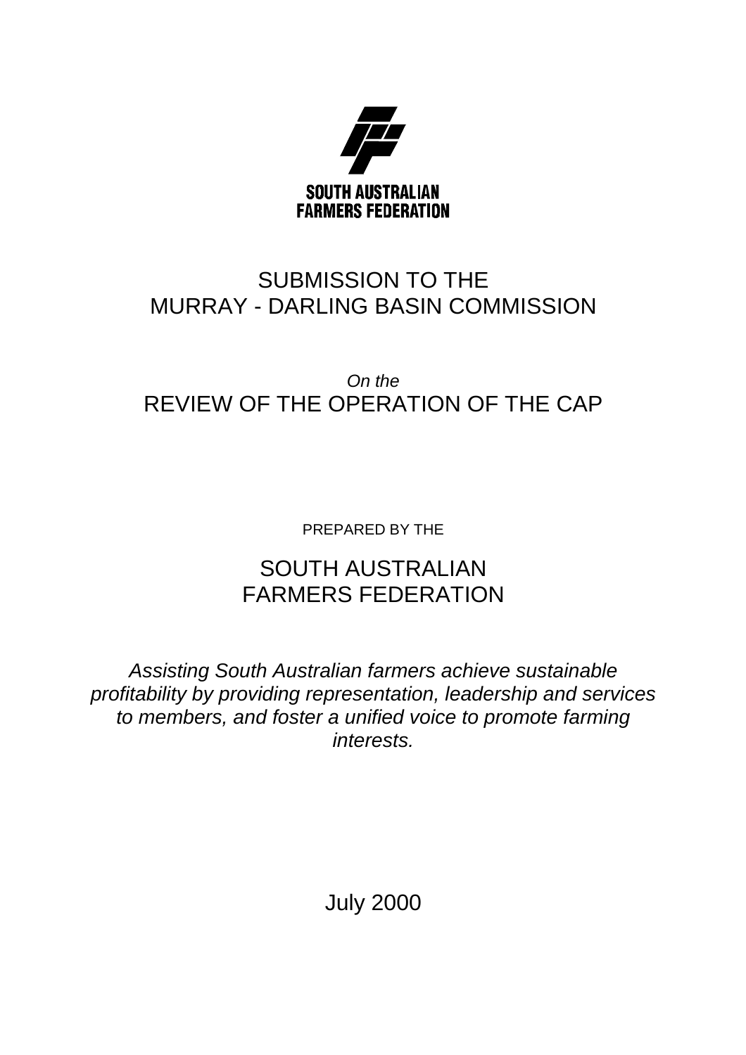

# SUBMISSION TO THE MURRAY - DARLING BASIN COMMISSION

# *On the* REVIEW OF THE OPERATION OF THE CAP

PREPARED BY THE

# SOUTH AUSTRALIAN FARMERS FEDERATION

*Assisting South Australian farmers achieve sustainable profitability by providing representation, leadership and services to members, and foster a unified voice to promote farming interests.*

July 2000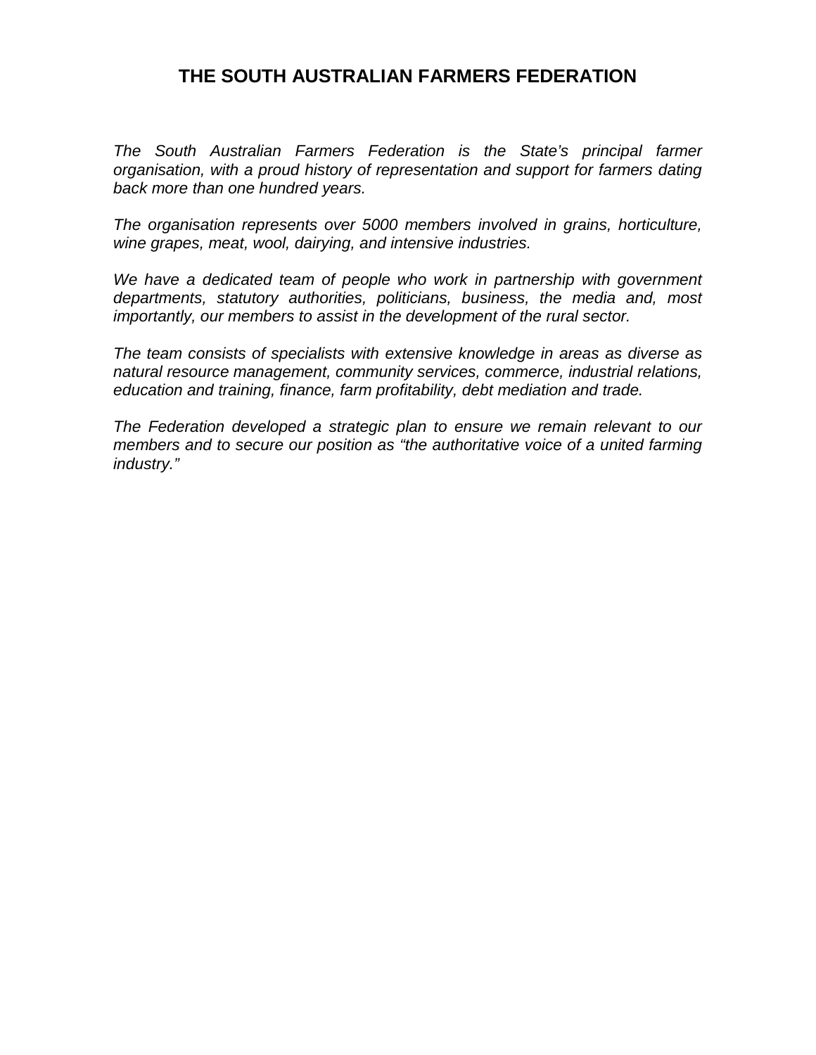# **THE SOUTH AUSTRALIAN FARMERS FEDERATION**

*The South Australian Farmers Federation is the State's principal farmer organisation, with a proud history of representation and support for farmers dating back more than one hundred years.*

*The organisation represents over 5000 members involved in grains, horticulture, wine grapes, meat, wool, dairying, and intensive industries.*

*We have a dedicated team of people who work in partnership with government departments, statutory authorities, politicians, business, the media and, most importantly, our members to assist in the development of the rural sector.*

*The team consists of specialists with extensive knowledge in areas as diverse as natural resource management, community services, commerce, industrial relations, education and training, finance, farm profitability, debt mediation and trade.*

*The Federation developed a strategic plan to ensure we remain relevant to our members and to secure our position as "the authoritative voice of a united farming industry."*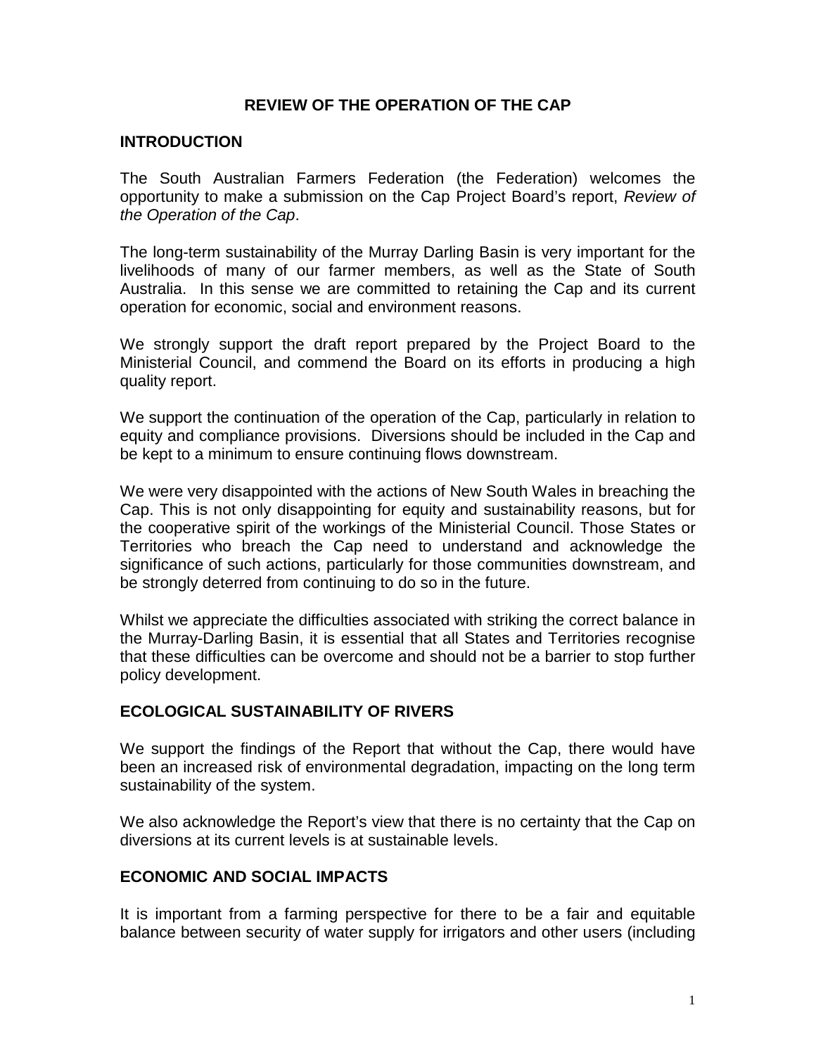### **REVIEW OF THE OPERATION OF THE CAP**

#### **INTRODUCTION**

The South Australian Farmers Federation (the Federation) welcomes the opportunity to make a submission on the Cap Project Board's report, *Review of the Operation of the Cap*.

The long-term sustainability of the Murray Darling Basin is very important for the livelihoods of many of our farmer members, as well as the State of South Australia. In this sense we are committed to retaining the Cap and its current operation for economic, social and environment reasons.

We strongly support the draft report prepared by the Project Board to the Ministerial Council, and commend the Board on its efforts in producing a high quality report.

We support the continuation of the operation of the Cap, particularly in relation to equity and compliance provisions. Diversions should be included in the Cap and be kept to a minimum to ensure continuing flows downstream.

We were very disappointed with the actions of New South Wales in breaching the Cap. This is not only disappointing for equity and sustainability reasons, but for the cooperative spirit of the workings of the Ministerial Council. Those States or Territories who breach the Cap need to understand and acknowledge the significance of such actions, particularly for those communities downstream, and be strongly deterred from continuing to do so in the future.

Whilst we appreciate the difficulties associated with striking the correct balance in the Murray-Darling Basin, it is essential that all States and Territories recognise that these difficulties can be overcome and should not be a barrier to stop further policy development.

### **ECOLOGICAL SUSTAINABILITY OF RIVERS**

We support the findings of the Report that without the Cap, there would have been an increased risk of environmental degradation, impacting on the long term sustainability of the system.

We also acknowledge the Report's view that there is no certainty that the Cap on diversions at its current levels is at sustainable levels.

# **ECONOMIC AND SOCIAL IMPACTS**

It is important from a farming perspective for there to be a fair and equitable balance between security of water supply for irrigators and other users (including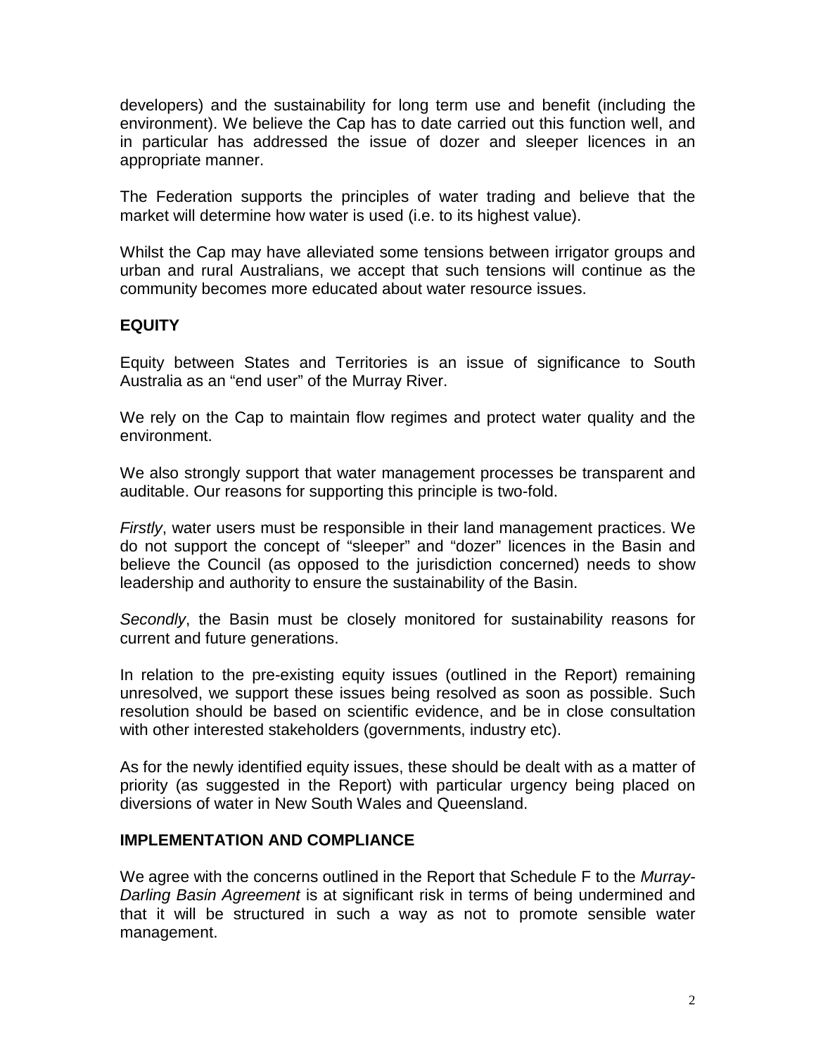developers) and the sustainability for long term use and benefit (including the environment). We believe the Cap has to date carried out this function well, and in particular has addressed the issue of dozer and sleeper licences in an appropriate manner.

The Federation supports the principles of water trading and believe that the market will determine how water is used (i.e. to its highest value).

Whilst the Cap may have alleviated some tensions between irrigator groups and urban and rural Australians, we accept that such tensions will continue as the community becomes more educated about water resource issues.

# **EQUITY**

Equity between States and Territories is an issue of significance to South Australia as an "end user" of the Murray River.

We rely on the Cap to maintain flow regimes and protect water quality and the environment.

We also strongly support that water management processes be transparent and auditable. Our reasons for supporting this principle is two-fold.

*Firstly*, water users must be responsible in their land management practices. We do not support the concept of "sleeper" and "dozer" licences in the Basin and believe the Council (as opposed to the jurisdiction concerned) needs to show leadership and authority to ensure the sustainability of the Basin.

*Secondly*, the Basin must be closely monitored for sustainability reasons for current and future generations.

In relation to the pre-existing equity issues (outlined in the Report) remaining unresolved, we support these issues being resolved as soon as possible. Such resolution should be based on scientific evidence, and be in close consultation with other interested stakeholders (governments, industry etc).

As for the newly identified equity issues, these should be dealt with as a matter of priority (as suggested in the Report) with particular urgency being placed on diversions of water in New South Wales and Queensland.

### **IMPLEMENTATION AND COMPLIANCE**

We agree with the concerns outlined in the Report that Schedule F to the *Murray-Darling Basin Agreement* is at significant risk in terms of being undermined and that it will be structured in such a way as not to promote sensible water management.